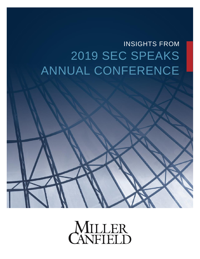# INSIGHTS FROM 2019 SEC SPEAKS ANNUAL CONFERENCE



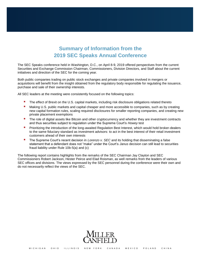## **Summary of Information from the 2019 SEC Speaks Annual Conference**

The SEC Speaks conference held in Washington, D.C., on April 8-9, 2019 offered perspectives from the current Securities and Exchange Commission Chairman, Commissioners, Division Directors, and Staff about the current initiatives and direction of the SEC for the coming year.

Both public companies trading on public stock exchanges and private companies involved in mergers or acquisitions will benefit from the insight obtained from the regulatory body responsible for regulating the issuance, purchase and sale of their ownership interests.

All SEC leaders at the meeting were consistently focused on the following topics:

- The effect of Brexit on the U.S. capital markets, including risk disclosure obligations related thereto
- **Making U.S. public markets and capital cheaper and more accessible to companies, such as by creating** new capital formation rules, scaling required disclosures for smaller reporting companies, and creating new private placement exemptions
- The role of digital assets like Bitcoin and other cryptocurrency and whether they are investment contracts and thus securities subject to regulation under the Supreme Court's *Howey* test
- Prioritizing the introduction of the long-awaited Regulation Best Interest, which would hold broker-dealers to the same fiduciary standard as investment advisors: to act in the best interest of their retail investment customers ahead of their own interests
- The Supreme Court's recent decision in *Lorenzo v. SEC* and its holding that disseminating a false statement that a defendant does not "make" under the Court's *Janus* decision can still lead to securities fraud liability under Rule 10b-5(a) and (c)

The following report contains highlights from the remarks of the SEC Chairman Jay Clayton and SEC Commissioners Robert Jackson, Hester Peirce and Elad Roisman, as well remarks from the leaders of various SEC offices and divisions. The views expressed by the SEC personnel during the conference were their own and do not necessarily reflect the views of the SEC.

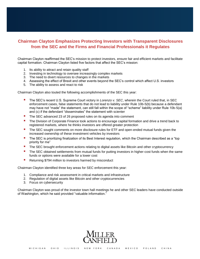#### **Chairman Clayton Emphasizes Protecting Investors with Transparent Disclosures from the SEC and the Firms and Financial Professionals it Regulates**

Chairman Clayton reaffirmed the SEC's mission to protect investors, ensure fair and efficient markets and facilitate capital formation. Chairman Clayton listed five factors that affect the SEC's mission:

- 1. Its ability to attract and retain quality staff
- 2. Investing in technology to oversee increasingly complex markets
- 3. The need to divert resources to changes in the markets
- 4. Assessing the effect of Brexit and other events beyond the SEC's control which affect U.S. investors
- 5. The ability to assess and react to risk

Chairman Clayton also touted the following accomplishments of the SEC this year:

- The SEC's recent U.S. Supreme Court victory in *Lorenzo v. SEC*, wherein the Court ruled that, in SEC enforcement cases, false statements that do not lead to liability under Rule 10b-5(b) because a defendant may have not "made" the statement, can still fall within the scope of "scheme" liability under Rule 10b-5(a) and (c) if the defendant "disseminates" the statement with scienter
- The SEC advanced 23 of 26 proposed rules on its agenda into comment
- **The Division of Corporate Finance took actions to encourage capital formation and drive a trend back to** registered markets, where he thinks investors are offered greater protection
- The SEC sought comments on more disclosure rules for ETF and open-ended mutual funds given the increased ownership of these investment vehicles by investors
- The SEC is prioritizing finalization of its Best Interest regulation, which the Chairman described as a "top" priority for me"
- The SEC brought enforcement actions relating to digital assets like Bitcoin and other cryptocurrency
- The SEC obtained settlements from mutual funds for putting investors in higher-cost funds when the same funds or options were available for a lower cost
- Returning \$794 million to investors harmed by misconduct

Chairman Clayton identified three key areas for SEC enforcement this year:

- 1. Compliance and risk assessment in critical markets and infrastructure
- 2. Regulation of digital assets like Bitcoin and other cryptocurrencies
- 3. Focus on cybersecurity

Chairman Clayton was proud of the investor town hall meetings he and other SEC leaders have conducted outside of Washington, which he said provided "valuable information."

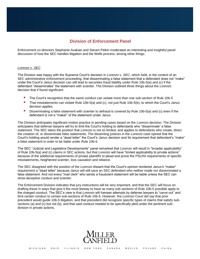## **Division of Enforcement Panel**

Enforcement co-directors Stephanie Avakian and Steven Peikin moderated an interesting and insightful panel discussion of how the SEC handles litigation and the Wells process, among other things.

#### *Lorenzo v. SEC*

The Division was happy with the Supreme Court's decision in *Lorenzo v. SEC*, which held, in the context of an SEC administrative enforcement proceeding, that disseminating a false statement that a defendant does not "make" under the Court's *Janus* decision can still lead to securities fraud liability under Rule 10b-5(a) and (c) if the defendant "disseminates" the statement with scienter. The Division outlined three things about the *Lorenzo*  decision that if found significant:

- The Court's recognition that the same conduct can violate more than one sub-section of Rule 10b-5
- That misstatements can violate Rule 10b-5(a) and (c), not just Rule 10b-5(b), to which the Court's *Janus* decision applies
- **Disseminating a false statement with scienter to defraud is covered by Rule 10b-5(a) and (c) even if the** defendant is not a "maker" of the statement under *Janus*

The Division anticipates significant motion practice in pending cases based on the *Lorenzo* decision. The Division anticipates that defense lawyers will try to limit the Court's holding to defendants who "disseminate" a false statement. The SEC takes the position that *Lorenzo* is not so limited, and applies to defendants who create, direct the creation of, or disseminate false statements. The dissenting justices in the *Lorenzo* case opined that the Court's holding would render a "dead letter" the Court's *Janus* decision and its requirement that defendant's "make" a false statement in order to be liable under Rule 10b-5.

The SEC "Judicial and Legislative Developments" panel remarked that *Lorenzo* will result in "broader applicability" of Rule 10b-5(a) and (c) claims in SEC actions, but that *Lorenzo* will have "limited applicability to private actions" because of the additional requirements of private plaintiffs to plead and prove the PSLRA requirements of specific misstatements, heightened scienter, loss causation and reliance.

The SEC disagreed with the position of the *Lorenzo* dissent that the Court's opinion rendered *Janus'*s "maker" requirement a "dead letter" because *Janus* will still save an SEC defendant who neither made nor disseminated a false statement. And not every "mail clerk" who sends a fraudulent statement will be liable unless the SEC can show deceptive conduct and scienter.

The Enforcement Division indicates that jury instructions will be very important, and that the SEC will focus on drafting these in ways that give it the most leeway to have as many sub-sections of Rule 10b-5 possible apply to the charged conduct. The SEC's view is that *Lorenzo* will hamper attempts by defense lawyers to "carve out" and limit certain conduct to certain sub-sections of Rule 10b-5. However, the *Lorenzo* Court did say that prior precedent would guide 10b-5 litigation, and that precedent did recognize specific types of claims that satisfy subsections (a) and (c) but not (b), and that said conduct needed to be specifically pled under the pertinent subdivision in private actions.

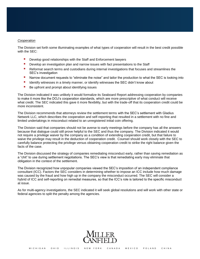#### *Cooperation*

The Division set forth some illuminating examples of what types of cooperation will result in the best credit possible with the SEC:

- Develop good relationships with the Staff and Enforcement lawyers
- **Develop an investigation plan and narrow issues with fact presentations to the Staff**
- **Reformat search terms and custodians during internal investigations that focuses and streamlines the** SEC's investigation
- Narrow document requests to "eliminate the noise" and tailor the production to what the SEC is looking into
- I Identify witnesses in a timely manner, or identify witnesses the SEC didn't know about
- Be upfront and prompt about identifying issues

The Division indicated it was unlikely it would formalize its Seaboard Report addressing cooperation by companies to make it more like the DOJ's cooperation standards, which are more prescriptive of what conduct will receive what credit. The SEC indicated this gave it more flexibility, but with the trade-off that its cooperation credit could be more inconsistent.

The Division recommends that attorneys review the settlement terms with the SEC's settlement with Gladius Network LLC, which describes the cooperation and self-reporting that resulted in a settlement with no fine and limited undertakings in misconduct related to an unregistered initial coin offering.

The Division said that companies should not be averse to early meetings before the company has all the answers because that dialogue could still prove helpful to the SEC and thus the company. The Division indicated it would not require a privilege waiver by the company as a condition of extending cooperation credit, but that failure to waive the privilege may result in the deduction of cooperation credit. Counsel should work closely with the SEC to carefully balance protecting the privilege versus obtaining cooperation credit to strike the right balance given the facts of the case.

The Division discussed the strategy of companies remediating misconduct early, rather than saving remediation as a "chit" to use during settlement negotiations. The SEC's view is that remediating early may eliminate that obligation in the context of the settlement.

The Division recognized how unpopular companies viewed the SEC's imposition of an independent compliance consultant (ICC). Factors the SEC considers in determining whether to impose an ICC include how much damage was caused by the fraud and how high up in the company the misconduct occurred. The SEC will consider a hybrid of ICC and self-reporting on remedial measures, so that the ICC's role is tailored to the specific misconduct at issue.

As for multi-agency investigations, the SEC indicated it will seek global resolutions and will work with other state or federal agencies to split the penalty among the agencies.

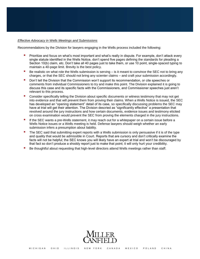#### *Effective Advocacy in Wells Meetings and Submissions*

Recommendations by the Division for lawyers engaging in the Wells process included the following:

- Prioritize and focus on what's most important and what's really in dispute. For example, don't attack every single statute identified in the Wells Notice, don't spend five pages defining the standards for pleading a Section 10(b) claim, etc. Don't take all 40 pages just to take them, or use 10 point, single-spaced typing to maintain a 40-page limit. Brevity is the best policy.
- Be realistic on what role the Wells submission is serving is it meant to convince the SEC not to bring any charges, or that the SEC should not bring any scienter claims – and craft your submission accordingly.
- Don't tell the Division that the Commission won't support its recommendation, or cite speeches or comments from individual Commissioners to try and make this point. The Division explained it is going to discuss this case and its specific facts with the Commissioners, and Commissioner speeches just aren't relevant to this process.
- Consider specifically telling the Division about specific documents or witness testimony that may not get into evidence and that will prevent them from proving their claims. When a Wells Notice is issued, the SEC has developed an "opening statement" detail of its case, so specifically discussing problems the SEC may have at trial will get their attention. The Division descried as "significantly effective" a presentation that revolved around the jury instructions and how certain documents, evidence issues and testimony elicited on cross examination would prevent the SEC from proving the elements charged in the jury instructions.
- If the SEC wants a pre-Wells statement, it may reach out for a whitepaper on a certain issue before a Wells Notice issues or a Wells meeting is held. Defense lawyers should weigh whether an early submission infers a presumption about liability.
- The SEC said that submitting expert reports with a Wells submission is only persuasive if it is of the type and quality that would be admissible in Court. Reports that are cursory and don't critically examine the facts will not be helpful; the SEC knows you will likely have an expert at trial and won't be discouraged by that fact so don't produce a shoddy report just to make that point; it will only hurt your credibility.
- Be thoughtful about requesting that high-level directors attend Wells meetings rather than staff.

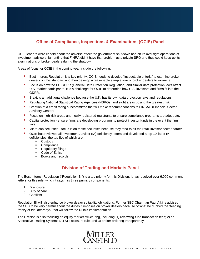### **Office of Compliance, Inspections & Examinations (OCIE) Panel**

OCIE leaders were candid about the adverse affect the government shutdown had on its oversight operations of investment advisers, lamenting that FINRA didn't have that problem as a private SRO and thus could keep up its examinations of broker dealers during the shutdown.

Areas of focus for OCIE in the coming year include the following:

- Best Interest Regulation is a key priority. OCIE needs to develop "inspectable criteria" to examine broker dealers on this standard and then develop a reasonable sample size of broker dealers to examine.
- Focus on how the EU GDPR (General Data Protection Regulation) and similar data protection laws affect U.S. market participants. It is a challenge for OCIE to determine how U.S. investors and firms fit into the GDPR.
- **Brexit is an additional challenge because the U.K. has its own data protection laws and regulations.**
- **Regulating National Statistical Rating Agencies (NSROs) and eight areas posing the greatest risk.**
- **E** Creation of a credit rating subcommittee that will make recommendations to FINSAC (Financial Sector Advisory Center).
- Focus on high-risk areas and newly registered registrants to ensure compliance programs are adequate.
- **Capital protection ensure firms are developing programs to protect investor funds in the event the firm** fails.
- Micro-cap securities focus is on these securities because they tend to hit the retail investor sector harder.
- OCIE has reviewed all Investment Adviser (IA) deficiency letters and developed a top 10 list of IA deficiencies, the top five of which are:
	- **Custody**
	- Compliance
	- **Regulatory filings**
	- Code of Ethics
	- Books and records

#### **Division of Trading and Markets Panel**

The Best Interest Regulation ("Regulation BI") is a top priority for this Division. It has received over 6,000 comment letters for this rule, which it says has three primary components:

- 1. Disclosure
- 2. Duty of care
- 3. Conflicts

Regulation BI will also enhance broker dealer suitability obligations. Former SEC Chairman Paul Atkins advised the SEC to be very careful about the duties it imposes on broker dealers because of what he dubbed the "feeding frenzy of trial attorneys" that will follow the Rule's implementation.

The Division is also focusing on equity market structuring, including: 1) reviewing fund transaction fees; 2) an Alternative Trading Systems (ATS) disclosure rule; and 3) broker ordering transparency.

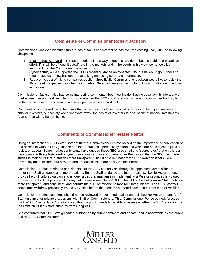## **Comments of Commissioner Robert Jackson**

Commissioner Jackson identified three areas of focus and interest he has over the coming year, with the following viewpoints:

- 1. Best Interest Standard The SEC needs to find a way to get this rule done, but it should be a bipartisan effort. This will be a "long litigated" rule in the markets and in the courts in his view, so he feels it's important that the Commission be unified on it.
- 2. Cybersecurity He supported the SEC's recent guidance on cybersecurity, but he would go further and require studies of how hackers are attacking and using corporate information.
- 3. Reduce the cost of taking companies public Specifically, Commissioner Jackson would like to revisit the 7% spread companies pay when going public. Given advances in technology, this amount should be lower in his view.

Commissioner Jackson also had some interesting comments about how insider-trading case law fits into today's market structure and realities. He is not sure whether the SEC could or should write a rule on insider trading, but he thinks the case law and how it has developed deserves a hard look.

Commenting on robo-advisers, he thinks that while they may lower the cost of access to the capital markets for smaller investors, our society won't "innovate away" the desire of investors to discuss their financial investments face-to-face with a human being.

#### **Comments of Commissioner Hester Peirce**

Using an interesting "SEC Secret Garden" theme, Commissioner Peirce opined on the importance of publication of and access to various SEC guidance and interpretations it periodically offers and which are not subject to judicial review or appeal. Some market participants have dubbed these SEC proclamations "secret rules" that only larger participants, with sophisticated lawyers, can access and use. Commissioner Peirce said that the SEC has made strides in making its interpretations more transparent, including a reminder that SEC No-Action letters were previously not published, but now are and are accessible more easily via the internet.

Commissioner Peirce reminded participants that the SEC can only act through its appointed Commissioners, rather than Staff guidance and interpretations. But the Staff guidance and interpretations, like No-Action letters, do provide helpful, tailored guidance to unique issues that may arise in implementing a Rule or securities law based on specific facts. That process also may help refine some "clunky" SEC rules. All of this helps make Staff guidance more transparent and consistent, and permits the full Commission to monitor Staff guidance. The SEC Staff will sometimes withdraw previously issued No-Action letters that become outdated based on current market realities.

Commissioner Peirce said firms should not be reviewed or examined against unpublished No-Action letters, "draft" Staff guidance, or private discussions with Staff or Commissioners. This, Commissioner Peirce opined, "crosses the line" into "secret laws." She indicated that the public needs to be able to assess whether the SEC is abiding by the limits on its legislative authority from Congress.

She confirmed that SEC Staff guidance is informed by public comment and debate, and is reviewable by the public and the SEC Commissioners.